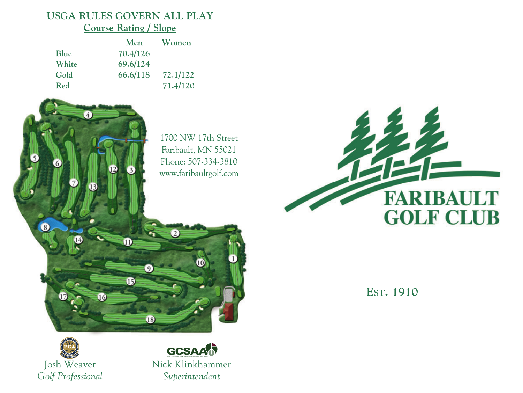## **USGA RULES GOVERN ALL PLAY Course Rating / Slope**

|       | Men      | Women    |
|-------|----------|----------|
| Blue  | 70.4/126 |          |
| White | 69.6/124 |          |
| Gold  | 66.6/118 | 72.1/122 |
| Red   |          | 71.4/120 |

1700 NW 17th Street Faribault, MN 55021 Phone: 507-334-3810 www.faribaultgolf.com

 $\overline{2}$ 



**EST. 1910**



 $1<sup>6</sup>$